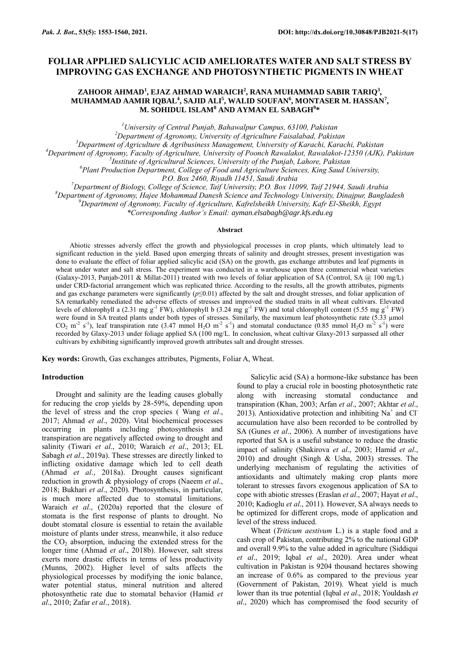# **FOLIAR APPLIED SALICYLIC ACID AMELIORATES WATER AND SALT STRESS BY IMPROVING GAS EXCHANGE AND PHOTOSYNTHETIC PIGMENTS IN WHEAT**

# **ZAHOOR AHMAD<sup>1</sup> , EJAZ AHMAD WARAICH<sup>2</sup> , RANA MUHAMMAD SABIR TARIQ<sup>3</sup> , MUHAMMAD AAMIR IQBAL<sup>4</sup> , SAJID ALI<sup>5</sup> , WALID SOUFAN<sup>6</sup> , MONTASER M. HASSAN<sup>7</sup> , M. SOHIDUL ISLAM<sup>8</sup> AND AYMAN EL SABAGH<sup>9</sup> \***

*<sup>1</sup>University of Central Punjab, Bahawalpur Campus, 63100, Pakistan <sup>2</sup>Department of Agronomy, University of Agriculture Faisalabad, Pakistan <sup>3</sup>Department of Agriculture & Agribusiness Management, University of Karachi, Karachi, Pakistan*

*<sup>4</sup>Department of Agronomy, Faculty of Agriculture, University of Poonch Rawalakot, Rawalakot-12350 (AJK), Pakistan*

*5 Institute of Agricultural Sciences, University of the Punjab, Lahore, Pakistan* 

*<sup>6</sup>Plant Production Department, College of Food and Agriculture Sciences, King Saud University,* 

*P.O. Box 2460, Riyadh 11451, Saudi Arabia*

*<sup>7</sup>Department of Biology, College of Science, Taif University, P.O. Box 11099, Taif 21944, Saudi Arabia <sup>8</sup>Department of Agronomy, Hajee Mohammad Danesh Science and Technology University, Dinajpur, Bangladesh*

*<sup>9</sup>Department of Agronomy, Faculty of Agriculture, Kafrelsheikh University, Kafr El-Sheikh, Egypt*

*\*Corresponding Author's Email: ayman.elsabagh@agr.kfs.edu.eg*

# **Abstract**

Abiotic stresses adversly effect the growth and physiological processes in crop plants, which ultimately lead to significant reduction in the yield. Based upon emerging threats of salinity and drought stresses, present investigation was done to evaluate the effect of foliar applied salicylic acid (SA) on the growth, gas exchange attributes and leaf pigments in wheat under water and salt stress. The experiment was conducted in a warehouse upon three commercial wheat varieties (Galaxy-2013, Punjab-2011 & Millat-2011) treated with two levels of foliar application of SA (Control, SA @ 100 mg/L) under CRD-factorial arrangement which was replicated thrice. According to the results, all the growth attributes, pigments and gas exchange parameters were significantly  $(p \le 0.01)$  affected by the salt and drought stresses, and foliar application of SA remarkably remediated the adverse effects of stresses and improved the studied traits in all wheat cultivars. Elevated levels of chlorophyll a (2.31 mg g<sup>-1</sup> FW), chlorophyll b (3.24 mg g<sup>-1</sup> FW) and total chlorophyll content (5.55 mg g<sup>-1</sup> FW) were found in SA treated plants under both types of stresses. Similarly, the maximum leaf photosynthetic rate (5.33 µmol  $CO_2$  m<sup>-2</sup> s<sup>-1</sup>), leaf transpiration rate (3.47 mmol H<sub>2</sub>O m<sup>-2</sup> s<sup>-1</sup>) and stomatal conductance (0.85 mmol H<sub>2</sub>O m<sup>-2</sup> s<sup>-1</sup>) were recorded by Glaxy-2013 under foliage applied SA (100 mg/L. In conclusion, wheat cultivar Glaxy-2013 surpassed all other cultivars by exhibiting significantly improved growth attributes salt and drought stresses.

**Key words:** Growth, Gas exchanges attributes, Pigments, Foliar A, Wheat.

#### **Introduction**

Drought and salinity are the leading causes globally for reducing the crop yields by 28-59%, depending upon the level of stress and the crop species ( Wang *et al*., 2017; Ahmad *et al*., 2020). Vital biochemical processes occurring in plants including photosynthesis and transpiration are negatively affected owing to drought and salinity (Tiwari *et al*., 2010; Waraich *et al*., 2013; EL Sabagh *et al*., 2019a). These stresses are directly linked to inflicting oxidative damage which led to cell death (Ahmad *et al*., 2018a). Drought causes significant reduction in growth & physiology of crops (Naeem *et al*., 2018; Bukhari *et al*., 2020). Photosynthesis, in particular, is much more affected due to stomatal limitations. Waraich *et al*., (2020a) reported that the closure of stomata is the first response of plants to drought. No doubt stomatal closure is essential to retain the available moisture of plants under stress, meanwhile, it also reduce the  $CO<sub>2</sub>$  absorption, inducing the extended stress for the longer time (Ahmad *et al*., 2018b). However, salt stress exerts more drastic effects in terms of less productivity (Munns, 2002). Higher level of salts affects the physiological processes by modifying the ionic balance, water potential status, mineral nutrition and altered photosynthetic rate due to stomatal behavior (Hamid *et al*., 2010; Zafar *et al*., 2018).

Salicylic acid (SA) a hormone-like substance has been found to play a crucial role in boosting photosynthetic rate along with increasing stomatal conductance and transpiration (Khan, 2003; Arfan *et al*., 2007; Akhtar *et al*., 2013). Antioxidative protection and inhibiting  $Na<sup>+</sup>$  and Cl accumulation have also been recorded to be controlled by SA (Gunes *et al*., 2006). A number of investigations have reported that SA is a useful substance to reduce the drastic impact of salinity (Shakirova *et al*., 2003; Hamid *et al*., 2010) and drought (Singh & Usha, 2003) stresses. The underlying mechanism of regulating the activities of antioxidants and ultimately making crop plants more tolerant to stresses favors exogenous application of SA to cope with abiotic stresses (Eraslan *et al*., 2007; Hayat *et al*., 2010; Kadioglu *et al*., 2011). However, SA always needs to be optimized for different crops, mode of application and level of the stress induced.

Wheat (*Triticum aestivum* L.) is a staple food and a cash crop of Pakistan, contributing 2% to the national GDP and overall 9.9% to the value added in agriculture (Siddiqui *et al*., 2019; Iqbal *et al*., 2020). Area under wheat cultivation in Pakistan is 9204 thousand hectares showing an increase of 0.6% as compared to the previous year (Government of Pakistan, 2019). Wheat yield is much lower than its true potential (Iqbal *et al*., 2018; Youldash *et al*., 2020) which has compromised the food security of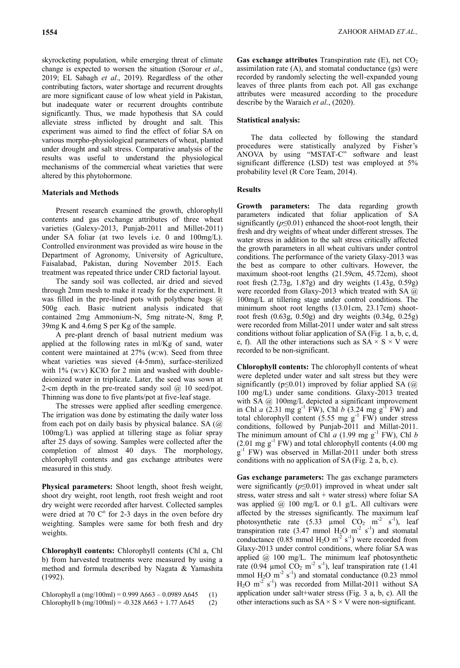skyrocketing population, while emerging threat of climate change is expected to worsen the situation (Sorour *et al*., 2019; EL Sabagh *et al*., 2019). Regardless of the other contributing factors, water shortage and recurrent droughts are more significant cause of low wheat yield in Pakistan, but inadequate water or recurrent droughts contribute significantly. Thus, we made hypothesis that SA could alleviate stress inflicted by drought and salt. This experiment was aimed to find the effect of foliar SA on various morpho-physiological parameters of wheat, planted under drought and salt stress. Comparative analysis of the results was useful to understand the physiological mechanisms of the commercial wheat varieties that were altered by this phytohormone.

### **Materials and Methods**

Present research examined the growth, chlorophyll contents and gas exchange attributes of three wheat varieties (Galexy-2013, Punjab-2011 and Millet-2011) under SA foliar (at two levels i.e. 0 and 100mg/L). Controlled environment was provided as wire house in the Department of Agronomy, University of Agriculture, Faisalabad, Pakistan, during November 2015. Each treatment was repeated thrice under CRD factorial layout.

The sandy soil was collected, air dried and sieved through 2mm mesh to make it ready for the experiment. It was filled in the pre-lined pots with polythene bags @ 500g each. Basic nutrient analysis indicated that contained 2mg Ammonium-N, 5mg nitrate-N, 8mg P, 39mg K and 4.6mg S per Kg of the sample.

A pre-plant drench of basal nutrient medium was applied at the following rates in ml/Kg of sand, water content were maintained at 27% (w:w). Seed from three wheat varieties was sieved (4-5mm), surface-sterilized with 1% (w:v) KClO for 2 min and washed with doubledeionized water in triplicate. Later, the seed was sown at 2-cm depth in the pre-treated sandy soil @ 10 seed/pot. Thinning was done to five plants/pot at five-leaf stage.

The stresses were applied after seedling emergence. The irrigation was done by estimating the daily water loss from each pot on daily basis by physical balance. SA (@ 100mg/L) was applied at tillering stage as foliar spray after 25 days of sowing. Samples were collected after the completion of almost 40 days. The morphology, chlorophyll contents and gas exchange attributes were measured in this study.

**Physical parameters:** Shoot length, shoot fresh weight, shoot dry weight, root length, root fresh weight and root dry weight were recorded after harvest. Collected samples were dried at 70  $\mathbb{C}^{\circ}$  for 2-3 days in the oven before dry weighting. Samples were same for both fresh and dry weights.

**Chlorophyll contents:** Chlorophyll contents (Chl a, Chl b) from harvested treatments were measured by using a method and formula described by Nagata & Yamashita (1992).

Chlorophyll a  $(mg/100m) = 0.999 A663 - 0.0989 A645$  (1) Chlorophyll b  $(mg/100m) = -0.328 A663 + 1.77 A645$  (2) **Gas exchange attributes** Transpiration rate  $(E)$ , net  $CO<sub>2</sub>$ assimilation rate  $(A)$ , and stomatal conductance  $(gs)$  were recorded by randomly selecting the well-expanded young leaves of three plants from each pot. All gas exchange attributes were measured according to the procedure describe by the Waraich *et al*., (2020).

#### **Statistical analysis:**

The data collected by following the standard procedures were statistically analyzed by Fisher's ANOVA by using "MSTAT-C" software and least significant difference (LSD) test was employed at 5% probability level (R Core Team, 2014).

## **Results**

**Growth parameters:** The data regarding growth parameters indicated that foliar application of SA significantly  $(p \le 0.01)$  enhanced the shoot-root length, their fresh and dry weights of wheat under different stresses. The water stress in addition to the salt stress critically affected the growth parameters in all wheat cultivars under control conditions. The performance of the variety Glaxy-2013 was the best as compare to other cultivars. However, the maximum shoot-root lengths (21.59cm, 45.72cm), shoot root fresh (2.73g, 1.87g) and dry weights (1.43g, 0.59g) were recorded from Glaxy-2013 which treated with SA @ 100mg/L at tillering stage under control conditions. The minimum shoot root lengths (13.01cm, 23.17cm) shootroot fresh (0.63g, 0.50g) and dry weights (0.34g, 0.25g) were recorded from Millat-2011 under water and salt stress conditions without foliar application of SA (Fig. 1 a, b, c, d, e, f). All the other interactions such as  $SA \times S \times V$  were recorded to be non-significant.

**Chlorophyll contents:** The chlorophyll contents of wheat were depleted under water and salt stress but they were significantly ( $p \le 0.01$ ) improved by foliar applied SA ( $@$ 100 mg/L) under same conditions. Glaxy-2013 treated with SA @ 100mg/L depicted a significant improvement in Chl *a*  $(2.31 \text{ mg g}^{-1} \text{FW})$ , Chl *b*  $(3.24 \text{ mg g}^{-1} \text{FW})$  and total chlorophyll content  $(5.55 \text{ mg g}^{-1} \text{ FW})$  under stress conditions, followed by Punjab-2011 and Millat-2011. The minimum amount of Chl  $a$  (1.99 mg  $g^{-1}$  FW), Chl  $b$  $(2.01 \text{ mg g}^{-1} \text{ FW})$  and total chlorophyll contents  $(4.00 \text{ mg})$  $g^{-1}$  FW) was observed in Millat-2011 under both stress conditions with no application of SA (Fig. 2 a, b, c).

**Gas exchange parameters:** The gas exchange parameters were significantly  $(p \le 0.01)$  improved in wheat under salt stress, water stress and salt + water stress) where foliar SA was applied  $(2)$  100 mg/L or 0.1 g/L. All cultivars were affected by the stresses significantly. The maximum leaf photosynthetic rate  $(5.33 \mu mol CO<sub>2</sub> m<sup>-2</sup> s<sup>-1</sup>)$ , leaf transpiration rate (3.47 mmol  $H_2O$  m<sup>-2</sup> s<sup>-1</sup>) and stomatal conductance (0.85 mmol  $H_2O$  m<sup>-2</sup> s<sup>-1</sup>) were recorded from Glaxy-2013 under control conditions, where foliar SA was applied @ 100 mg/L. The minimum leaf photosynthetic rate (0.94 µmol  $CO_2$  m<sup>-2</sup> s<sup>-1</sup>), leaf transpiration rate (1.41 mmol  $H_2O$  m<sup>-2</sup> s<sup>-1</sup>) and stomatal conductance (0.23 mmol  $H_2O$  m<sup>-2</sup> s<sup>-1</sup>) was recorded from Millat-2011 without SA application under salt+water stress (Fig. 3 a, b, c). All the other interactions such as  $SA \times S \times V$  were non-significant.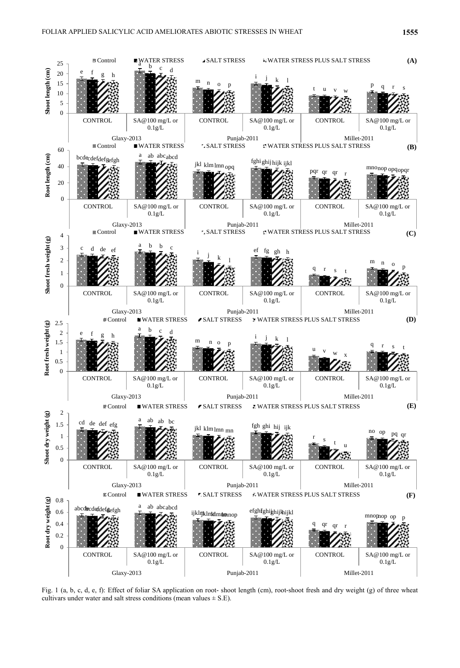

Fig. 1 (a, b, c, d, e, f): Effect of foliar SA application on root- shoot length (cm), root-shoot fresh and dry weight (g) of three wheat cultivars under water and salt stress conditions (mean values  $\pm$  S.E).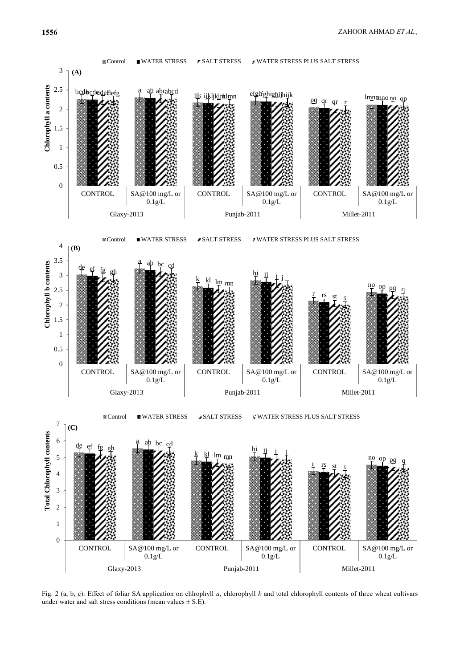

Fig. 2 (a, b, c): Effect of foliar SA application on chlrophyll *a*, chlorophyll *b* and total chlorophyll contents of three wheat cultivars under water and salt stress conditions (mean values  $\pm$  S.E).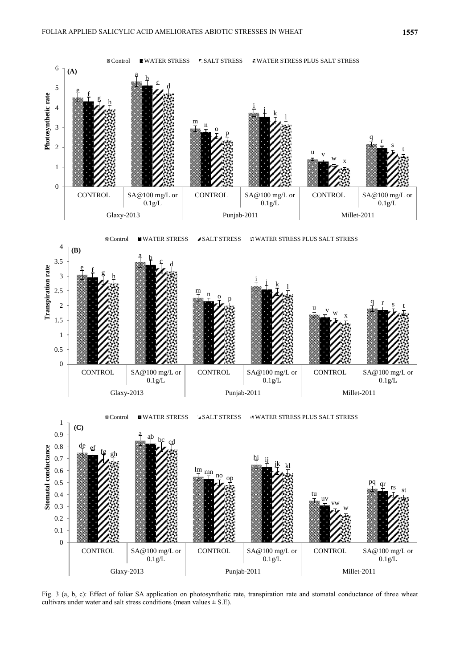

Fig. 3 (a, b, c): Effect of foliar SA application on photosynthetic rate, transpiration rate and stomatal conductance of three wheat cultivars under water and salt stress conditions (mean values  $\pm$  S.E).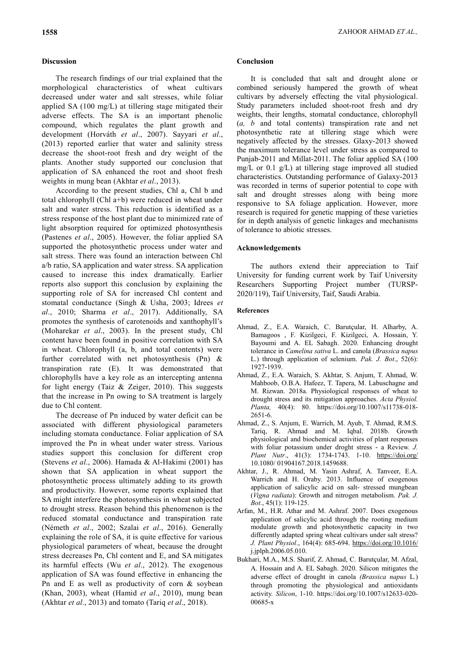# **Discussion**

The research findings of our trial explained that the morphological characteristics of wheat cultivars decreased under water and salt stresses, while foliar applied SA (100 mg/L) at tillering stage mitigated their adverse effects. The SA is an important phenolic compound, which regulates the plant growth and development (Horváth *et al*., 2007). Sayyari *et al*., (2013) reported earlier that water and salinity stress decrease the shoot-root fresh and dry weight of the plants. Another study supported our conclusion that application of SA enhanced the root and shoot fresh weights in mung bean (Akhtar *et al*., 2013).

According to the present studies, Chl a, Chl b and total chlorophyll (Chl a+b) were reduced in wheat under salt and water stress. This reduction is identified as a stress response of the host plant due to minimized rate of light absorption required for optimized photosynthesis (Pastenes *et al*., 2005). However, the foliar applied SA supported the photosynthetic process under water and salt stress. There was found an interaction between Chl a/b ratio, SA application and water stress. SA application caused to increase this index dramatically. Earlier reports also support this conclusion by explaining the supporting role of SA for increased Chl content and stomatal conductance (Singh & Usha, 2003; Idrees *et al*., 2010; Sharma *et al*., 2017). Additionally, SA promotes the synthesis of carotenoids and xanthophyll's (Moharekar *et al*., 2003). In the present study, Chl content have been found in positive correlation with SA in wheat. Chlorophyll (a, b, and total contents) were further correlated with net photosynthesis (Pn) & transpiration rate (E). It was demonstrated that chlorophylls have a key role as an intercepting antenna for light energy (Taiz & Zeiger, 2010). This suggests that the increase in Pn owing to SA treatment is largely due to Chl content.

The decrease of Pn induced by water deficit can be associated with different physiological parameters including stomata conductance. Foliar application of SA improved the Pn in wheat under water stress. Various studies support this conclusion for different crop (Stevens *et al*., 2006). Hamada & Al-Hakimi (2001) has shown that SA application in wheat support the photosynthetic process ultimately adding to its growth and productivity. However, some reports explained that SA might interfere the photosynthesis in wheat subjected to drought stress. Reason behind this phenomenon is the reduced stomatal conductance and transpiration rate (Németh *et al*., 2002; Szalai *et al*., 2016). Generally explaining the role of SA, it is quite effective for various physiological parameters of wheat, because the drought stress decreases Pn, Chl content and E, and SA mitigates its harmful effects (Wu *et al*., 2012). The exogenous application of SA was found effective in enhancing the Pn and E as well as productivity of corn & soybean (Khan, 2003), wheat (Hamid *et al*., 2010), mung bean (Akhtar *et al*., 2013) and tomato (Tariq *et al*., 2018).

#### **Conclusion**

It is concluded that salt and drought alone or combined seriously hampered the growth of wheat cultivars by adversely effecting the vital physiological. Study parameters included shoot-root fresh and dry weights, their lengths, stomatal conductance, chlorophyll (*a, b* and total contents) transpiration rate and net photosynthetic rate at tillering stage which were negatively affected by the stresses. Glaxy-2013 showed the maximum tolerance level under stress as compared to Punjab-2011 and Millat-2011. The foliar applied SA (100 mg/L or 0.1 g/L) at tillering stage improved all studied characteristics. Outstanding performance of Galaxy-2013 was recorded in terms of superior potential to cope with salt and drought stresses along with being more responsive to SA foliage application. However, more research is required for genetic mapping of these varieties for in depth analysis of genetic linkages and mechanisms of tolerance to abiotic stresses.

#### **Acknowledgements**

The authors extend their appreciation to Taif University for funding current work by Taif University Researchers Supporting Project number (TURSP-2020/119), Taif University, Taif, Saudi Arabia.

# **References**

- Ahmad, Z., E.A. Waraich, C. Barutçular, H. Alharby, A. Bamagoos , F. Kizilgeci, F. Kizilgeci, A. Hossain, Y. Bayoumi and A. EL Sabagh. 2020. Enhancing drought tolerance in *Camelina sativa* L. and canola (*Brassica napus*  L.) through application of selenium. *Pak. J. Bot*., 52(6): 1927-1939.
- Ahmad, Z., E.A. Waraich, S. Akhtar, S. Anjum, T. Ahmad, W. Mahboob, O.B.A. Hafeez, T. Tapera, M. Labuschagne and M. Rizwan. 2018a. Physiological responses of wheat to drought stress and its mitigation approaches. *Acta Physiol. Planta,* 40(4): 80. https://doi.org/10.1007/s11738-018- 2651-6.
- Ahmad, Z., S. Anjum, E. Warrich, M. Ayub, T. Ahmad, R.M.S. Tariq, R. Ahmad and M. Iqbal. 2018b. Growth physiological and biochemical activities of plant responses with foliar potassium under droght stress - a Review. *J. Plant Nutr*., 41(3): 1734-1743. 1-10. <https://doi.org/> 10.1080/ 01904167.2018.1459688.
- Akhtar, J., R. Ahmad, M. Yasin Ashraf, A. Tanveer, E.A. Warrich and H. Oraby. 2013. Influence of exogenous application of salicylic acid on salt- stressed mungbean (*Vigna radiata*): Growth and nitrogen metabolism. *Pak. J. Bot*., 45(1): 119-125.
- Arfan, M., H.R. Athar and M. Ashraf. 2007. Does exogenous application of salicylic acid through the rooting medium modulate growth and photosynthetic capacity in two differently adapted spring wheat cultivars under salt stress? *J. Plant Physiol*., 164(4): 685-694.<https://doi.org/10.1016/> j.jplph.2006.05.010.
- Bukhari, M.A., M.S. Sharif, Z. Ahmad, C. Barutçular, M. Afzal, A. Hossain and A. EL Sabagh. 2020. Silicon mitigates the adverse effect of drought in canola *(Brassica napus* L*.*) through promoting the physiological and antioxidants activity. *Silicon*, 1-10. https://doi.org/10.1007/s12633-020- 00685-x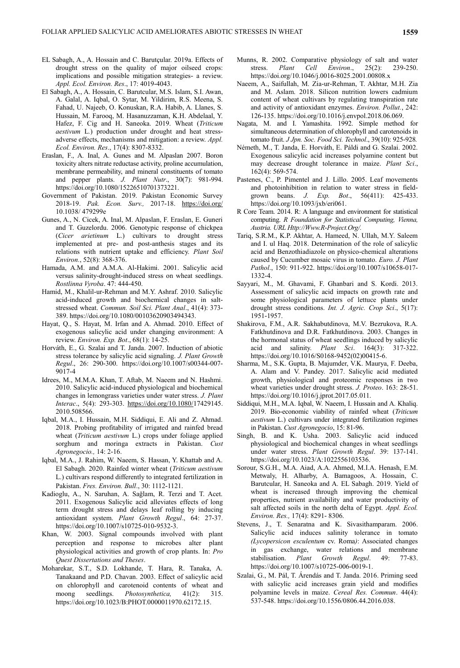- EL Sabagh, A., A. Hossain and C. Barutçular. 2019a. Effects of drought stress on the quality of major oilseed crops: implications and possible mitigation strategies- a review. *Appl. Ecol. Environ. Res*., 17: 4019-4043.
- El Sabagh, A., A. Hossain, C. Barutcular, M.S. Islam, S.I. Awan, A. Galal, A. Iqbal, O. Sytar, M. Yildirim, R.S. Meena, S. Fahad, U. Najeeb, O. Konuskan, R.A. Habib, A. Llanes, S. Hussain, M. Farooq, M. Hasanuzzaman, K.H. Abdelaal, Y. Hafez, F. Cig and H. Saneoka. 2019. Wheat (*Triticum aestivum* L*.*) production under drought and heat stressadverse effects, mechanisms and mitigation: a review. *Appl. Ecol. Environ. Res*., 17(4): 8307-8332.
- Eraslan, F., A. Inal, A. Gunes and M. Alpaslan 2007. Boron toxicity alters nitrate reductase activity, proline accumulation, membrane permeability, and mineral constituents of tomato and pepper plants. *J. Plant Nutr*., 30(7): 981-994. https://doi.org/10.1080/15226510701373221.
- Government of Pakistan. 2019. Pakistan Economic Survey 2018-19. *Pak. Econ. Surv.,* 2017-18. <https://doi.org/> 10.1038/ 479299e
- Gunes, A., N. Cicek, A. Inal, M. Alpaslan, F. Eraslan, E. Guneri and T. Guzelordu. 2006. Genotypic response of chickpea (*Cicer arietinum* L.) cultivars to drought stress implemented at pre- and post-anthesis stages and its relations with nutrient uptake and efficiency. *Plant Soil Environ.*, 52(8): 368-376.
- Hamada, A.M. and A.M.A. Al-Hakimi. 2001. Salicylic acid versus salinity-drought-induced stress on wheat seedlings. *Rostlinna Vyroba*. 47: 444-450.
- Hamid, M., Khalil-ur-Rehman and M.Y. Ashraf. 2010. Salicylic acid-induced growth and biochemical changes in saltstressed wheat. *Commun. Soil Sci. Plant Anal*., 41(4): 373- 389. https://doi.org/10.1080/00103620903494343.
- Hayat, Q., S. Hayat, M. Irfan and A. Ahmad. 2010. Effect of exogenous salicylic acid under changing environment: A review. *Environ. Exp. Bot*., 68(1): 14-25.
- Horváth, E., G. Szalai and T. Janda. 2007. Induction of abiotic stress tolerance by salicylic acid signaling. *J. Plant Growth Regul*., 26: 290-300. https://doi.org/10.1007/s00344-007- 9017-4
- Idrees, M., M.M.A. Khan, T. Aftab, M. Naeem and N. Hashmi. 2010. Salicylic acid-induced physiological and biochemical changes in lemongrass varieties under water stress. *J. Plant Interac*., 5(4): 293-303. [https://doi.org/10.1080/1](https://doi.org/10.1080/)7429145. 2010.508566.
- Iqbal, M.A., I. Hussain, M.H. Siddiqui, E. Ali and Z. Ahmad. 2018. Probing profitability of irrigated and rainfed bread wheat (*Triticum aestivum* L.) crops under foliage applied sorghum and moringa extracts in Pakistan. *Cust Agronegocio.,* 14: 2-16.
- Iqbal, M.A., J. Rahim, W. Naeem, S. Hassan, Y. Khattab and A. El Sabagh. 2020. Rainfed winter wheat (*Triticum aestivum* L.) cultivars respond differently to integrated fertilization in Pakistan. *Fres. Environ. Bull*., 30: 1112-1121.
- Kadioglu, A., N. Saruhan, A. Sağlam, R. Terzi and T. Acet. 2011. Exogenous Salicylic acid alleviates effects of long term drought stress and delays leaf rolling by inducing antioxidant system. *Plant Growth Regul*., 64: 27-37. https://doi.org/10.1007/s10725-010-9532-3.
- Khan, W. 2003. Signal compounds involved with plant perception and response to microbes alter plant physiological activities and growth of crop plants. In: *Pro Quest Dissertations and Theses*.
- Moharekar, S.T., S.D. Lokhande, T. Hara, R. Tanaka, A. Tanakaand and P.D. Chavan. 2003. Effect of salicylic acid on chlorophyll and carotenoid contents of wheat and moong seedlings. *Photosynthetica,* 41(2): 315. https://doi.org/10.1023/B:PHOT.0000011970.62172.15.
- Munns, R. 2002. Comparative physiology of salt and water stress. *Plant Cell Environ*., 25(2): 239-250. https://doi.org/10.1046/j.0016-8025.2001.00808.x
- Naeem, A., Saifullah, M. Zia-ur-Rehman, T. Akhtar, M.H. Zia and M. Aslam. 2018. Silicon nutrition lowers cadmium content of wheat cultivars by regulating transpiration rate and activity of antioxidant enzymes. *Environ. Pollut.*, 242: 126-135. https://doi.org/10.1016/j.envpol.2018.06.069.
- Nagata, M. and I. Yamashita. 1992. Simple method for simultaneous determination of chlorophyll and carotenoids in tomato fruit. *J Jpn. Soc. Food Sci. Technol*., 39(10): 925-928*.*
- Németh, M., T. Janda, E. Horváth, E. Páldi and G. Szalai. 2002. Exogenous salicylic acid increases polyamine content but may decrease drought tolerance in maize. *Plant Sci*., 162(4): 569-574.
- Pastenes, C., P. Pimentel and J. Lillo. 2005. Leaf movements and photoinhibition in relation to water stress in fieldgrown beans. *J. Exp. Bot*., 56(411): 425-433. https://doi.org/10.1093/jxb/eri061.
- R Core Team. 2014. R: A language and environment for statistical computing. *R Foundation for Statistical Computing, Vienna, Austria. URL Http://Www.R-Project.Org/.*
- Tariq, S.R.M., K.P. Akhtar, A. Hameed, N. Ullah, M.Y. Saleem and I. ul Haq. 2018. Determination of the role of salicylic acid and Benzothiadiazole on physico-chemical alterations caused by Cucumber mosaic virus in tomato. *Euro. J. Plant Pathol*., 150: 911-922. https://doi.org/10.1007/s10658-017- 1332-4.
- Sayyari, M., M. Ghavami, F. Ghanbari and S. Kordi. 2013. Assessment of salicylic acid impacts on growth rate and some physiological parameters of lettuce plants under drought stress conditions. *Int. J. Agric. Crop Sci*., 5(17): 1951-1957.
- Shakirova, F.M., A.R. Sakhabutdinova, M.V. Bezrukova, R.A. Fatkhutdinova and D.R. Fatkhutdinova. 2003. Changes in the hormonal status of wheat seedlings induced by salicylic acid and salinity. *Plant Sci*. 164(3): 317-322. https://doi.org/10.1016/S0168-9452(02)00415-6.
- Sharma, M., S.K. Gupta, B. Majumder, V.K. Maurya, F. Deeba, A. Alam and V. Pandey. 2017. Salicylic acid mediated growth, physiological and proteomic responses in two wheat varieties under drought stress. *J. Proteo*. 163: 28-51. https://doi.org/10.1016/j.jprot.2017.05.011.
- Siddiqui, M.H., M.A. Iqbal, W. Naeem, I. Hussain and A. Khaliq. 2019. Bio-economic viability of rainfed wheat (*Triticum aestivum* L.) cultivars under integrated fertilization regimes in Pakistan. *Cust Agronegocio*, 15: 81-96.
- Singh, B. and K. Usha. 2003. Salicylic acid induced physiological and biochemical changes in wheat seedlings under water stress. *Plant Growth Regul*. 39: 137-141. [https://doi.org/10.1023/A:1022556103536.](https://doi.org/10.1023/A:1022556103536)
- Sorour, S.G.H., M.A. Aiad, A.A. Ahmed, M.I.A. Henash, E.M. Metwaly, H. Alharby, A. Bamagoos, A. Hossain, C. Barutcular, H. Saneoka and A. EL Sabagh. 2019. Yield of wheat is increased through improving the chemical properties, nutrient availability and water productivity of salt affected soils in the north delta of Egypt. *Appl. Ecol. Environ. Res.,* 17(4): 8291- 8306.
- Stevens, J., T. Senaratna and K. Sivasithamparam. 2006. Salicylic acid induces salinity tolerance in tomato *(Lycopersicon esculentum* cv. Roma*)*: Associated changes in gas exchange, water relations and membrane stabilisation. *Plant Growth Regul*. 49: 77-83. https://doi.org/10.1007/s10725-006-0019-1.
- Szalai, G., M. Pál, T. Árendás and T. Janda. 2016. Priming seed with salicylic acid increases grain yield and modifies polyamine levels in maize. *Cereal Res. Commun*. 44(4): 537-548. https://doi.org/10.1556/0806.44.2016.038.